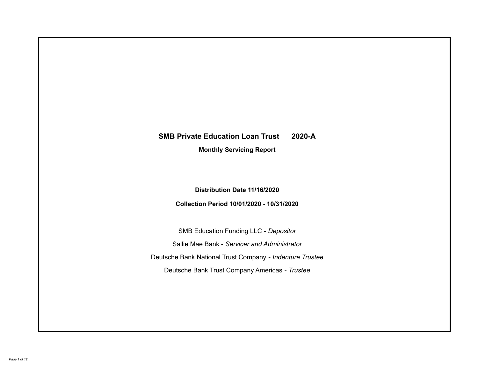# **SMB Private Education Loan Trust 2020-A Monthly Servicing Report**

**Distribution Date 11/16/2020**

**Collection Period 10/01/2020 - 10/31/2020**

SMB Education Funding LLC - *Depositor* Sallie Mae Bank - *Servicer and Administrator* Deutsche Bank National Trust Company - *Indenture Trustee* Deutsche Bank Trust Company Americas - *Trustee*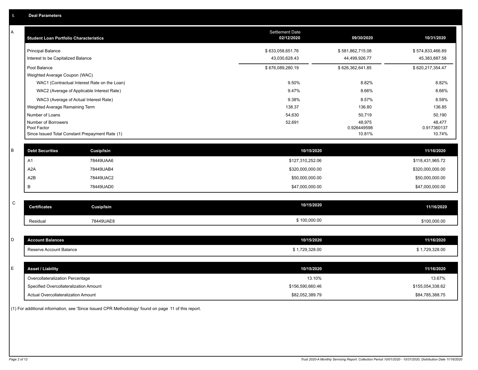| A           | <b>Student Loan Portfolio Characteristics</b>   |                   | <b>Settlement Date</b><br>02/12/2020 | 09/30/2020            | 10/31/2020            |
|-------------|-------------------------------------------------|-------------------|--------------------------------------|-----------------------|-----------------------|
|             | <b>Principal Balance</b>                        |                   | \$633,058,651.76                     | \$581,862,715.08      | \$574,833,466.89      |
|             | Interest to be Capitalized Balance              |                   | 43,030,628.43                        | 44,499,926.77         | 45,383,887.58         |
|             | Pool Balance                                    |                   | \$676,089,280.19                     | \$626,362,641.85      | \$620,217,354.47      |
|             | Weighted Average Coupon (WAC)                   |                   |                                      |                       |                       |
|             | WAC1 (Contractual Interest Rate on the Loan)    |                   | 9.50%                                | 8.82%                 | 8.82%                 |
|             | WAC2 (Average of Applicable Interest Rate)      |                   | 9.47%                                | 8.66%                 | 8.66%                 |
|             | WAC3 (Average of Actual Interest Rate)          |                   | 9.38%                                | 8.57%                 | 8.58%                 |
|             | Weighted Average Remaining Term                 |                   | 138.37                               | 136.80                | 136.85                |
|             | Number of Loans                                 |                   | 54,630                               | 50,719                | 50,190                |
|             | Number of Borrowers<br>Pool Factor              |                   | 52,691                               | 48,975<br>0.926449598 | 48,477<br>0.917360137 |
|             | Since Issued Total Constant Prepayment Rate (1) |                   |                                      | 10.81%                | 10.74%                |
|             |                                                 |                   |                                      |                       |                       |
| $\sf B$     | <b>Debt Securities</b>                          | <b>Cusip/Isin</b> | 10/15/2020                           |                       | 11/16/2020            |
|             | A1                                              | 78449UAA6         | \$127,310,252.06                     |                       | \$118,431,965.72      |
|             | A2A                                             | 78449UAB4         | \$320,000,000.00                     |                       | \$320,000,000.00      |
|             | A <sub>2</sub> B                                | 78449UAC2         | \$50,000,000.00                      |                       | \$50,000,000.00       |
|             | В                                               | 78449UAD0         | \$47,000,000.00                      |                       | \$47,000,000.00       |
|             |                                                 |                   |                                      |                       |                       |
| $\mathsf C$ | <b>Certificates</b>                             | <b>Cusip/Isin</b> | 10/15/2020                           |                       | 11/16/2020            |
|             | Residual                                        | 78449UAE8         | \$100,000.00                         |                       | \$100,000.00          |
|             |                                                 |                   |                                      |                       |                       |
| D           | <b>Account Balances</b>                         |                   | 10/15/2020                           |                       | 11/16/2020            |
|             | Reserve Account Balance                         |                   | \$1,729,328.00                       |                       | \$1,729,328.00        |
|             |                                                 |                   |                                      |                       |                       |
| E           | <b>Asset / Liability</b>                        |                   | 10/15/2020                           |                       | 11/16/2020            |
|             | Overcollateralization Percentage                |                   | 13.10%                               |                       | 13.67%                |
|             | Specified Overcollateralization Amount          |                   | \$156,590,660.46                     |                       | \$155,054,338.62      |
|             | <b>Actual Overcollateralization Amount</b>      |                   | \$82,052,389.79                      |                       | \$84,785,388.75       |

(1) For additional information, see 'Since Issued CPR Methodology' found on page 11 of this report.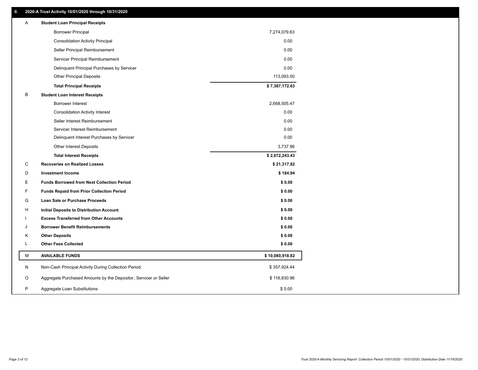#### **II. 2020-A Trust Activity 10/01/2020 through 10/31/2020**

| Α  | <b>Student Loan Principal Receipts</b>                           |                 |  |
|----|------------------------------------------------------------------|-----------------|--|
|    | <b>Borrower Principal</b>                                        | 7,274,079.63    |  |
|    | <b>Consolidation Activity Principal</b>                          | 0.00            |  |
|    | Seller Principal Reimbursement                                   | 0.00            |  |
|    | Servicer Principal Reimbursement                                 | 0.00            |  |
|    | Delinquent Principal Purchases by Servicer                       | 0.00            |  |
|    | <b>Other Principal Deposits</b>                                  | 113,093.00      |  |
|    | <b>Total Principal Receipts</b>                                  | \$7,387,172.63  |  |
| B  | <b>Student Loan Interest Receipts</b>                            |                 |  |
|    | <b>Borrower Interest</b>                                         | 2,668,505.47    |  |
|    | <b>Consolidation Activity Interest</b>                           | 0.00            |  |
|    | Seller Interest Reimbursement                                    | 0.00            |  |
|    | Servicer Interest Reimbursement                                  | 0.00            |  |
|    | Delinquent Interest Purchases by Servicer                        | 0.00            |  |
|    | Other Interest Deposits                                          | 3,737.96        |  |
|    | <b>Total Interest Receipts</b>                                   | \$2,672,243.43  |  |
| C  | <b>Recoveries on Realized Losses</b>                             | \$21,317.82     |  |
| D  | <b>Investment Income</b>                                         | \$184.94        |  |
| Е  | <b>Funds Borrowed from Next Collection Period</b>                | \$0.00          |  |
| F  | <b>Funds Repaid from Prior Collection Period</b>                 | \$0.00          |  |
| G  | Loan Sale or Purchase Proceeds                                   | \$0.00          |  |
| H  | Initial Deposits to Distribution Account                         | \$0.00          |  |
| J. | <b>Excess Transferred from Other Accounts</b>                    | \$0.00          |  |
| J  | <b>Borrower Benefit Reimbursements</b>                           | \$0.00          |  |
| K  | <b>Other Deposits</b>                                            | \$0.00          |  |
| L  | <b>Other Fees Collected</b>                                      | \$0.00          |  |
| М  | <b>AVAILABLE FUNDS</b>                                           | \$10,080,918.82 |  |
| N  | Non-Cash Principal Activity During Collection Period             | \$357,924.44    |  |
| O  | Aggregate Purchased Amounts by the Depositor, Servicer or Seller | \$116,830.96    |  |
| P  | Aggregate Loan Substitutions                                     | \$0.00          |  |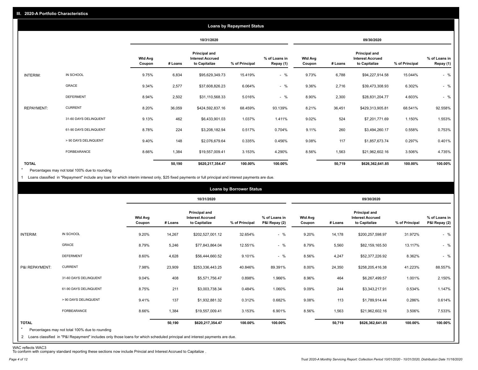|                   |                       |                          |         |                                                           | <b>Loans by Repayment Status</b> |                            |                   |         |                                                                  |                |                            |
|-------------------|-----------------------|--------------------------|---------|-----------------------------------------------------------|----------------------------------|----------------------------|-------------------|---------|------------------------------------------------------------------|----------------|----------------------------|
|                   |                       |                          |         | 10/31/2020                                                |                                  |                            |                   |         | 09/30/2020                                                       |                |                            |
|                   |                       | <b>Wtd Avg</b><br>Coupon | # Loans | Principal and<br><b>Interest Accrued</b><br>to Capitalize | % of Principal                   | % of Loans in<br>Repay (1) | Wtd Avg<br>Coupon | # Loans | <b>Principal and</b><br><b>Interest Accrued</b><br>to Capitalize | % of Principal | % of Loans in<br>Repay (1) |
| INTERIM:          | IN SCHOOL             | 9.75%                    | 6,834   | \$95,629,349.73                                           | 15.419%                          | $-$ %                      | 9.73%             | 6,788   | \$94,227,914.58                                                  | 15.044%        | $-$ %                      |
|                   | GRACE                 | 9.34%                    | 2,577   | \$37,608,826.23                                           | 6.064%                           | $-$ %                      | 9.36%             | 2,716   | \$39,473,308.93                                                  | 6.302%         | $-$ %                      |
|                   | <b>DEFERMENT</b>      | 8.94%                    | 2,502   | \$31,110,568.33                                           | 5.016%                           | $-$ %                      | 8.90%             | 2,300   | \$28,831,204.77                                                  | 4.603%         | $-$ %                      |
| <b>REPAYMENT:</b> | <b>CURRENT</b>        | 8.20%                    | 36,059  | \$424,592,837.16                                          | 68.459%                          | 93.139%                    | 8.21%             | 36,451  | \$429,313,905.81                                                 | 68.541%        | 92.558%                    |
|                   | 31-60 DAYS DELINQUENT | 9.13%                    | 462     | \$6,433,901.03                                            | 1.037%                           | 1.411%                     | 9.02%             | 524     | \$7,201,771.69                                                   | 1.150%         | 1.553%                     |
|                   | 61-90 DAYS DELINQUENT | 8.78%                    | 224     | \$3,208,182.94                                            | 0.517%                           | 0.704%                     | 9.11%             | 260     | \$3,494,260.17                                                   | 0.558%         | 0.753%                     |
|                   | > 90 DAYS DELINQUENT  | 9.40%                    | 148     | \$2,076,679.64                                            | 0.335%                           | 0.456%                     | 9.08%             | 117     | \$1,857,673.74                                                   | 0.297%         | 0.401%                     |
|                   | FORBEARANCE           | 8.66%                    | 1,384   | \$19,557,009.41                                           | 3.153%                           | 4.290%                     | 8.56%             | 1,563   | \$21,962,602.16                                                  | 3.506%         | 4.735%                     |
| <b>TOTAL</b>      |                       |                          | 50,190  | \$620,217,354.47                                          | 100.00%                          | 100.00%                    |                   | 50,719  | \$626,362,641.85                                                 | 100.00%        | 100.00%                    |

Percentages may not total 100% due to rounding \*

1 Loans classified in "Repayment" include any loan for which interim interest only, \$25 fixed payments or full principal and interest payments are due.

|                                                                                  |                                                                                                                            |                          |         |                                                           | <b>Loans by Borrower Status</b> |                                |                          |         |                                                           |                |                                |
|----------------------------------------------------------------------------------|----------------------------------------------------------------------------------------------------------------------------|--------------------------|---------|-----------------------------------------------------------|---------------------------------|--------------------------------|--------------------------|---------|-----------------------------------------------------------|----------------|--------------------------------|
|                                                                                  |                                                                                                                            |                          |         | 10/31/2020                                                |                                 |                                |                          |         | 09/30/2020                                                |                |                                |
|                                                                                  |                                                                                                                            | <b>Wtd Avg</b><br>Coupon | # Loans | Principal and<br><b>Interest Accrued</b><br>to Capitalize | % of Principal                  | % of Loans in<br>P&I Repay (2) | <b>Wtd Avg</b><br>Coupon | # Loans | Principal and<br><b>Interest Accrued</b><br>to Capitalize | % of Principal | % of Loans in<br>P&I Repay (2) |
| IN SCHOOL<br>INTERIM:                                                            |                                                                                                                            | 9.20%                    | 14,267  | \$202,527,001.12                                          | 32.654%                         | $-$ %                          | 9.20%                    | 14,178  | \$200,257,598.97                                          | 31.972%        | $-$ %                          |
| <b>GRACE</b>                                                                     |                                                                                                                            | 8.79%                    | 5,246   | \$77,843,864.04                                           | 12.551%                         | $-$ %                          | 8.79%                    | 5,560   | \$82,159,165.50                                           | 13.117%        | $-$ %                          |
| <b>DEFERMENT</b>                                                                 |                                                                                                                            | 8.60%                    | 4,628   | \$56,444,660.52                                           | 9.101%                          | $-$ %                          | 8.56%                    | 4,247   | \$52,377,226.92                                           | 8.362%         | $-$ %                          |
| <b>CURRENT</b><br>P&I REPAYMENT:                                                 |                                                                                                                            | 7.98%                    | 23,909  | \$253,336,443.25                                          | 40.846%                         | 89.391%                        | 8.00%                    | 24,350  | \$258,205,416.38                                          | 41.223%        | 88.557%                        |
|                                                                                  | 31-60 DAYS DELINQUENT                                                                                                      | 9.04%                    | 408     | \$5,571,756.47                                            | 0.898%                          | 1.966%                         | 8.96%                    | 464     | \$6,267,499.57                                            | 1.001%         | 2.150%                         |
|                                                                                  | 61-90 DAYS DELINQUENT                                                                                                      | 8.75%                    | 211     | \$3,003,738.34                                            | 0.484%                          | 1.060%                         | 9.09%                    | 244     | \$3,343,217.91                                            | 0.534%         | 1.147%                         |
|                                                                                  | > 90 DAYS DELINQUENT                                                                                                       | 9.41%                    | 137     | \$1,932,881.32                                            | 0.312%                          | 0.682%                         | 9.08%                    | 113     | \$1,789,914.44                                            | 0.286%         | 0.614%                         |
| FORBEARANCE                                                                      |                                                                                                                            | 8.66%                    | 1,384   | \$19,557,009.41                                           | 3.153%                          | 6.901%                         | 8.56%                    | 1,563   | \$21,962,602.16                                           | 3.506%         | 7.533%                         |
| <b>TOTAL</b><br>Percentages may not total 100% due to rounding<br>$\overline{2}$ | Loans classified in "P&I Repayment" includes only those loans for which scheduled principal and interest payments are due. |                          | 50,190  | \$620,217,354.47                                          | 100.00%                         | 100.00%                        |                          | 50,719  | \$626,362,641.85                                          | 100.00%        | 100.00%                        |

WAC reflects WAC3 To conform with company standard reporting these sections now include Princial and Interest Accrued to Capitalize .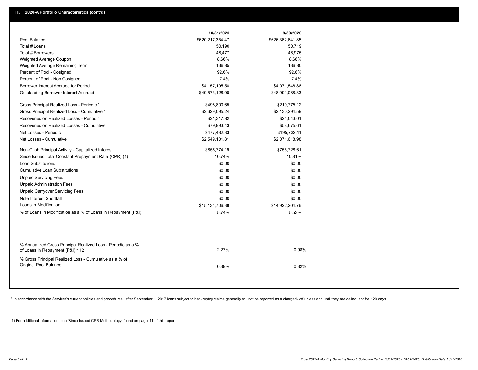|                                                                                                  | 10/31/2020       | 9/30/2020        |
|--------------------------------------------------------------------------------------------------|------------------|------------------|
| Pool Balance                                                                                     | \$620,217,354.47 | \$626,362,641.85 |
| Total # Loans                                                                                    | 50,190           | 50,719           |
| Total # Borrowers                                                                                | 48,477           | 48,975           |
| Weighted Average Coupon                                                                          | 8.66%            | 8.66%            |
| Weighted Average Remaining Term                                                                  | 136.85           | 136.80           |
| Percent of Pool - Cosigned                                                                       | 92.6%            | 92.6%            |
| Percent of Pool - Non Cosigned                                                                   | 7.4%             | 7.4%             |
| Borrower Interest Accrued for Period                                                             | \$4,157,195.58   | \$4,071,546.88   |
| Outstanding Borrower Interest Accrued                                                            | \$49,573,128.00  | \$48,991,088.33  |
| Gross Principal Realized Loss - Periodic *                                                       | \$498,800.65     | \$219,775.12     |
| Gross Principal Realized Loss - Cumulative *                                                     | \$2,629,095.24   | \$2,130,294.59   |
| Recoveries on Realized Losses - Periodic                                                         | \$21,317.82      | \$24,043.01      |
| Recoveries on Realized Losses - Cumulative                                                       | \$79,993.43      | \$58,675.61      |
| Net Losses - Periodic                                                                            | \$477,482.83     | \$195,732.11     |
| Net Losses - Cumulative                                                                          | \$2,549,101.81   | \$2,071,618.98   |
| Non-Cash Principal Activity - Capitalized Interest                                               | \$856,774.19     | \$755,728.61     |
| Since Issued Total Constant Prepayment Rate (CPR) (1)                                            | 10.74%           | 10.81%           |
| Loan Substitutions                                                                               | \$0.00           | \$0.00           |
| <b>Cumulative Loan Substitutions</b>                                                             | \$0.00           | \$0.00           |
| <b>Unpaid Servicing Fees</b>                                                                     | \$0.00           | \$0.00           |
| <b>Unpaid Administration Fees</b>                                                                | \$0.00           | \$0.00           |
| <b>Unpaid Carryover Servicing Fees</b>                                                           | \$0.00           | \$0.00           |
| Note Interest Shortfall                                                                          | \$0.00           | \$0.00           |
| Loans in Modification                                                                            | \$15,134,706.38  | \$14,922,204.76  |
| % of Loans in Modification as a % of Loans in Repayment (P&I)                                    | 5.74%            | 5.53%            |
|                                                                                                  |                  |                  |
| % Annualized Gross Principal Realized Loss - Periodic as a %<br>of Loans in Repayment (P&I) * 12 | 2.27%            | 0.98%            |
| % Gross Principal Realized Loss - Cumulative as a % of                                           |                  |                  |
| <b>Original Pool Balance</b>                                                                     | 0.39%            | 0.32%            |
|                                                                                                  |                  |                  |

\* In accordance with the Servicer's current policies and procedures, after September 1, 2017 loans subject to bankruptcy claims generally will not be reported as a charged- off unless and until they are delinquent for 120

(1) For additional information, see 'Since Issued CPR Methodology' found on page 11 of this report.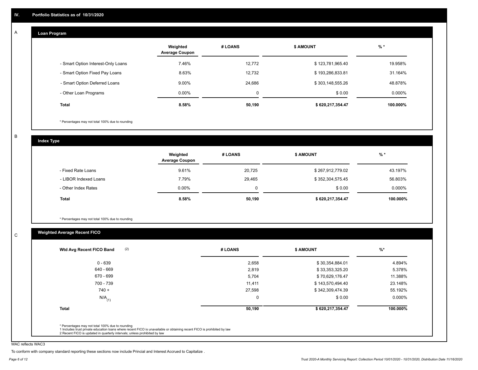#### **Loan Program**  A

|                                    | Weighted<br><b>Average Coupon</b> | # LOANS | <b>\$ AMOUNT</b> | $%$ *    |
|------------------------------------|-----------------------------------|---------|------------------|----------|
| - Smart Option Interest-Only Loans | 7.46%                             | 12,772  | \$123,781,965.40 | 19.958%  |
| - Smart Option Fixed Pay Loans     | 8.63%                             | 12.732  | \$193,286,833.81 | 31.164%  |
| - Smart Option Deferred Loans      | 9.00%                             | 24,686  | \$303,148,555.26 | 48.878%  |
| - Other Loan Programs              | $0.00\%$                          | 0       | \$0.00           | 0.000%   |
| <b>Total</b>                       | 8.58%                             | 50,190  | \$620,217,354.47 | 100.000% |

\* Percentages may not total 100% due to rounding

B

C

**Index Type**

|                       | Weighted<br><b>Average Coupon</b> | # LOANS | <b>\$ AMOUNT</b> | $%$ *    |
|-----------------------|-----------------------------------|---------|------------------|----------|
| - Fixed Rate Loans    | 9.61%                             | 20.725  | \$267,912,779.02 | 43.197%  |
| - LIBOR Indexed Loans | 7.79%                             | 29,465  | \$352,304,575.45 | 56.803%  |
| - Other Index Rates   | $0.00\%$                          | 0       | \$0.00           | 0.000%   |
| Total                 | 8.58%                             | 50,190  | \$620,217,354.47 | 100.000% |

\* Percentages may not total 100% due to rounding

## **Weighted Average Recent FICO**

| 2,658<br>2,819 | \$30,354,884.01  | 4.894%   |
|----------------|------------------|----------|
|                |                  |          |
|                | \$33,353,325.20  | 5.378%   |
| 5,704          | \$70,629,176.47  | 11.388%  |
| 11,411         | \$143,570,494.40 | 23.148%  |
| 27,598         | \$342,309,474.39 | 55.192%  |
| $\Omega$       | \$0.00           | 0.000%   |
| 50,190         | \$620,217,354.47 | 100.000% |
|                |                  |          |

WAC reflects WAC3

To conform with company standard reporting these sections now include Princial and Interest Accrued to Capitalize .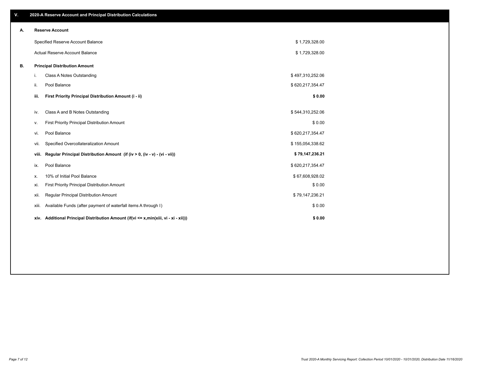| V. |      | 2020-A Reserve Account and Principal Distribution Calculations                       |                  |  |
|----|------|--------------------------------------------------------------------------------------|------------------|--|
| А. |      | <b>Reserve Account</b>                                                               |                  |  |
|    |      | Specified Reserve Account Balance                                                    | \$1,729,328.00   |  |
|    |      | Actual Reserve Account Balance                                                       | \$1,729,328.00   |  |
| В. |      | <b>Principal Distribution Amount</b>                                                 |                  |  |
|    | i.   | Class A Notes Outstanding                                                            | \$497,310,252.06 |  |
|    | ii.  | Pool Balance                                                                         | \$620,217,354.47 |  |
|    | iii. | First Priority Principal Distribution Amount (i - ii)                                | \$0.00           |  |
|    | iv.  | Class A and B Notes Outstanding                                                      | \$544,310,252.06 |  |
|    | v.   | First Priority Principal Distribution Amount                                         | \$0.00           |  |
|    | vi.  | Pool Balance                                                                         | \$620,217,354.47 |  |
|    |      | Specified Overcollateralization Amount<br>vii.                                       | \$155,054,338.62 |  |
|    |      | Regular Principal Distribution Amount (if (iv > 0, (iv - v) - (vi - vii))<br>viii.   | \$79,147,236.21  |  |
|    | ix.  | Pool Balance                                                                         | \$620,217,354.47 |  |
|    | х.   | 10% of Initial Pool Balance                                                          | \$67,608,928.02  |  |
|    | xi.  | First Priority Principal Distribution Amount                                         | \$0.00           |  |
|    | xii. | Regular Principal Distribution Amount                                                | \$79,147,236.21  |  |
|    |      | Available Funds (after payment of waterfall items A through I)<br>xiii.              | \$0.00           |  |
|    |      | xiv. Additional Principal Distribution Amount (if(vi <= x,min(xiii, vi - xi - xii))) | \$0.00           |  |
|    |      |                                                                                      |                  |  |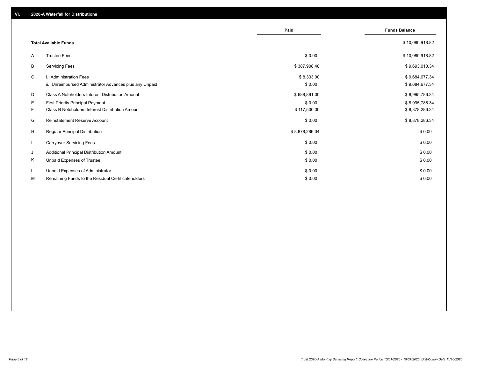|              |                                                                                   | Paid                 | <b>Funds Balance</b>             |
|--------------|-----------------------------------------------------------------------------------|----------------------|----------------------------------|
|              | <b>Total Available Funds</b>                                                      |                      | \$10,080,918.82                  |
| A            | <b>Trustee Fees</b>                                                               | \$0.00               | \$10,080,918.82                  |
| В            | <b>Servicing Fees</b>                                                             | \$387,908.48         | \$9,693,010.34                   |
| C            | i. Administration Fees<br>ii. Unreimbursed Administrator Advances plus any Unpaid | \$8,333.00<br>\$0.00 | \$9,684,677.34<br>\$9,684,677.34 |
| D            | Class A Noteholders Interest Distribution Amount                                  | \$688,891.00         | \$8,995,786.34                   |
| E.           | <b>First Priority Principal Payment</b>                                           | \$0.00               | \$8,995,786.34                   |
| F.           | Class B Noteholders Interest Distribution Amount                                  | \$117,500.00         | \$8,878,286.34                   |
| G            | Reinstatement Reserve Account                                                     | \$0.00               | \$8,878,286.34                   |
| H            | Regular Principal Distribution                                                    | \$8,878,286.34       | \$0.00                           |
| $\mathbf{I}$ | <b>Carryover Servicing Fees</b>                                                   | \$0.00               | \$0.00                           |
| J            | Additional Principal Distribution Amount                                          | \$0.00               | \$0.00                           |
| Κ            | Unpaid Expenses of Trustee                                                        | \$0.00               | \$0.00                           |
| L            | Unpaid Expenses of Administrator                                                  | \$0.00               | \$0.00                           |
| М            | Remaining Funds to the Residual Certificateholders                                | \$0.00               | \$0.00                           |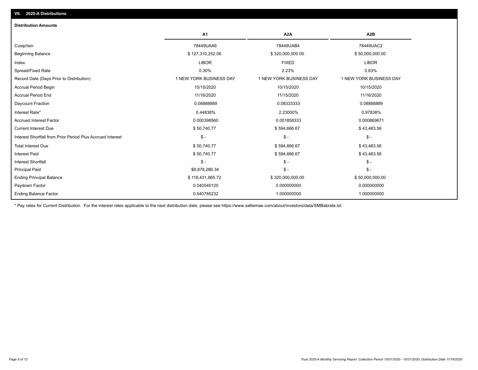| <b>Distribution Amounts</b>                                |                         |                         |                         |
|------------------------------------------------------------|-------------------------|-------------------------|-------------------------|
|                                                            | A1                      | A <sub>2</sub> A        | A <sub>2</sub> B        |
| Cusip/Isin                                                 | 78449UAA6               | 78449UAB4               | 78449UAC2               |
| <b>Beginning Balance</b>                                   | \$127,310,252.06        | \$320,000,000.00        | \$50,000,000.00         |
| Index                                                      | <b>LIBOR</b>            | <b>FIXED</b>            | <b>LIBOR</b>            |
| Spread/Fixed Rate                                          | 0.30%                   | 2.23%                   | 0.83%                   |
| Record Date (Days Prior to Distribution)                   | 1 NEW YORK BUSINESS DAY | 1 NEW YORK BUSINESS DAY | 1 NEW YORK BUSINESS DAY |
| <b>Accrual Period Begin</b>                                | 10/15/2020              | 10/15/2020              | 10/15/2020              |
| <b>Accrual Period End</b>                                  | 11/16/2020              | 11/15/2020              | 11/16/2020              |
| Daycount Fraction                                          | 0.08888889              | 0.08333333              | 0.08888889              |
| Interest Rate*                                             | 0.44838%                | 2.23000%                | 0.97838%                |
| <b>Accrued Interest Factor</b>                             | 0.000398560             | 0.001858333             | 0.000869671             |
| <b>Current Interest Due</b>                                | \$50,740.77             | \$594,666.67            | \$43,483.56             |
| Interest Shortfall from Prior Period Plus Accrued Interest | $\frac{1}{2}$           | $\mathcal{S}$ -         | $$ -$                   |
| <b>Total Interest Due</b>                                  | \$50,740.77             | \$594,666.67            | \$43,483.56             |
| <b>Interest Paid</b>                                       | \$50,740.77             | \$594,666.67            | \$43,483.56             |
| <b>Interest Shortfall</b>                                  | $$ -$                   | $\mathsf{\$}$ -         | $$ -$                   |
| <b>Principal Paid</b>                                      | \$8,878,286.34          | $\mathsf{\$}$ -         | \$-                     |
| <b>Ending Principal Balance</b>                            | \$118,431,965.72        | \$320,000,000.00        | \$50,000,000.00         |
| Paydown Factor                                             | 0.040540120             | 0.000000000             | 0.000000000             |
| <b>Ending Balance Factor</b>                               | 0.540785232             | 1.000000000             | 1.000000000             |

\* Pay rates for Current Distribution. For the interest rates applicable to the next distribution date, please see https://www.salliemae.com/about/investors/data/SMBabrate.txt.

**VII. 2020-A Distributions**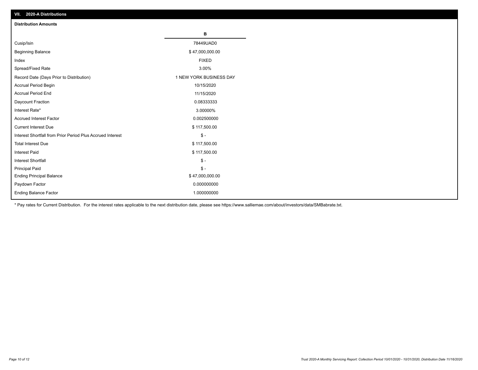| VII. 2020-A Distributions                                  |                         |
|------------------------------------------------------------|-------------------------|
| <b>Distribution Amounts</b>                                |                         |
|                                                            | В                       |
| Cusip/Isin                                                 | 78449UAD0               |
| <b>Beginning Balance</b>                                   | \$47,000,000.00         |
| Index                                                      | <b>FIXED</b>            |
| Spread/Fixed Rate                                          | 3.00%                   |
| Record Date (Days Prior to Distribution)                   | 1 NEW YORK BUSINESS DAY |
| Accrual Period Begin                                       | 10/15/2020              |
| <b>Accrual Period End</b>                                  | 11/15/2020              |
| Daycount Fraction                                          | 0.08333333              |
| Interest Rate*                                             | 3.00000%                |
| <b>Accrued Interest Factor</b>                             | 0.002500000             |
| <b>Current Interest Due</b>                                | \$117,500.00            |
| Interest Shortfall from Prior Period Plus Accrued Interest | $\mathsf{\$}$ -         |
| <b>Total Interest Due</b>                                  | \$117,500.00            |
| <b>Interest Paid</b>                                       | \$117,500.00            |
| Interest Shortfall                                         | $\mathbb{S}$ -          |
| <b>Principal Paid</b>                                      | $\frac{1}{2}$           |
| <b>Ending Principal Balance</b>                            | \$47,000,000.00         |
| Paydown Factor                                             | 0.000000000             |
| <b>Ending Balance Factor</b>                               | 1.000000000             |

\* Pay rates for Current Distribution. For the interest rates applicable to the next distribution date, please see https://www.salliemae.com/about/investors/data/SMBabrate.txt.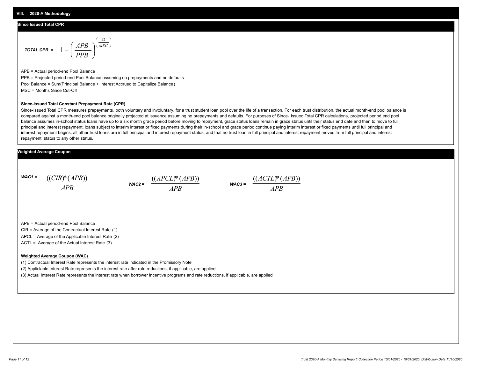#### **Since Issued Total CPR**

$$
\text{total CPR} = 1 - \left(\frac{APB}{PPB}\right)^{\left(\frac{12}{MSC}\right)}
$$

APB = Actual period-end Pool Balance PPB = Projected period-end Pool Balance assuming no prepayments and no defaults Pool Balance = Sum(Principal Balance + Interest Accrued to Capitalize Balance) MSC = Months Since Cut-Off

#### **Since-Issued Total Constant Prepayment Rate (CPR)**

Since-Issued Total CPR measures prepayments, both voluntary and involuntary, for a trust student loan pool over the life of a transaction. For each trust distribution, the actual month-end pool balance is compared against a month-end pool balance originally projected at issuance assuming no prepayments and defaults. For purposes of Since- Issued Total CPR calculations, projected period end pool balance assumes in-school status loans have up to a six month grace period before moving to repayment, grace status loans remain in grace status until their status end date and then to move to full principal and interest repayment, loans subject to interim interest or fixed payments during their in-school and grace period continue paying interim interest or fixed payments until full principal and interest repayment begins, all other trust loans are in full principal and interest repayment status, and that no trust loan in full principal and interest repayment moves from full principal and interest repayment status to any other status.

#### **Weighted Average Coupon**

*WAC1 = APB* ((*CIR*)\*(*APB*))

*WAC2 = APB*  $\frac{((APCL)^{*}(APB))}{APB}$  wac<sub>3</sub> =  $\frac{((ACTL)^{*}(A)P}{APB}$ 



APB = Actual period-end Pool Balance

CIR = Average of the Contractual Interest Rate (1)

APCL = Average of the Applicable Interest Rate (2)

ACTL = Average of the Actual Interest Rate (3)

#### **Weighted Average Coupon (WAC)**

(1) Contractual Interest Rate represents the interest rate indicated in the Promissory Note

(2) Appliclable Interest Rate represents the interest rate after rate reductions, if applicable, are applied

(3) Actual Interest Rate represents the interest rate when borrower incentive programs and rate reductions, if applicable, are applied